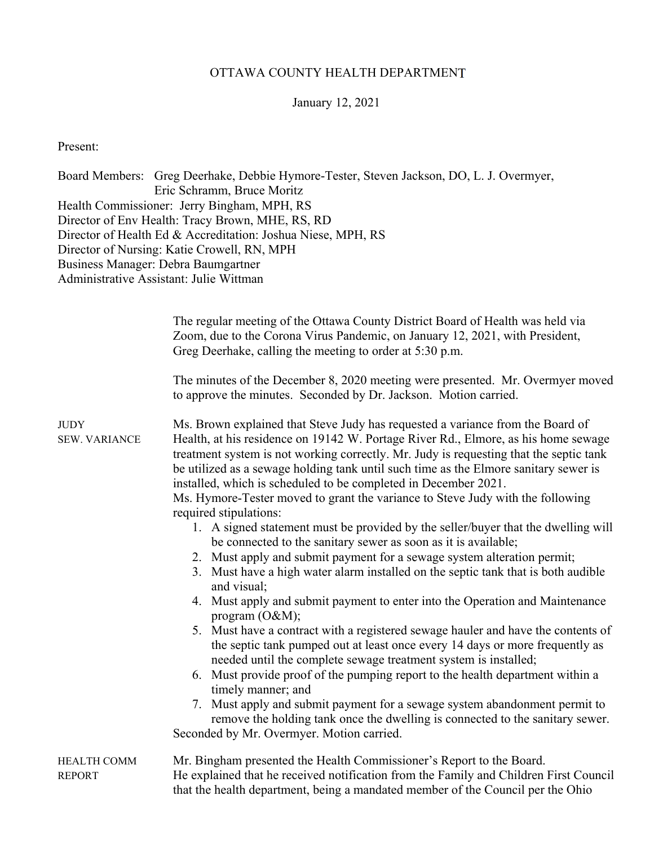## OTTAWA COUNTY HEALTH DEPARTMENT

## January 12, 2021

Present:

Board Members: Greg Deerhake, Debbie Hymore-Tester, Steven Jackson, DO, L. J. Overmyer, Eric Schramm, Bruce Moritz Health Commissioner: Jerry Bingham, MPH, RS Director of Env Health: Tracy Brown, MHE, RS, RD Director of Health Ed & Accreditation: Joshua Niese, MPH, RS Director of Nursing: Katie Crowell, RN, MPH Business Manager: Debra Baumgartner Administrative Assistant: Julie Wittman

|                                     | The regular meeting of the Ottawa County District Board of Health was held via<br>Zoom, due to the Corona Virus Pandemic, on January 12, 2021, with President,<br>Greg Deerhake, calling the meeting to order at 5:30 p.m.                                                                                                                                                                                                                                                                                                                                                                                                                                                                                                                                                                                                                                                                                                                                                                                                                                                                                                                                                                                                                                                                                                                                                                                                                                                                                                                |
|-------------------------------------|-------------------------------------------------------------------------------------------------------------------------------------------------------------------------------------------------------------------------------------------------------------------------------------------------------------------------------------------------------------------------------------------------------------------------------------------------------------------------------------------------------------------------------------------------------------------------------------------------------------------------------------------------------------------------------------------------------------------------------------------------------------------------------------------------------------------------------------------------------------------------------------------------------------------------------------------------------------------------------------------------------------------------------------------------------------------------------------------------------------------------------------------------------------------------------------------------------------------------------------------------------------------------------------------------------------------------------------------------------------------------------------------------------------------------------------------------------------------------------------------------------------------------------------------|
|                                     | The minutes of the December 8, 2020 meeting were presented. Mr. Overmyer moved<br>to approve the minutes. Seconded by Dr. Jackson. Motion carried.                                                                                                                                                                                                                                                                                                                                                                                                                                                                                                                                                                                                                                                                                                                                                                                                                                                                                                                                                                                                                                                                                                                                                                                                                                                                                                                                                                                        |
| <b>JUDY</b><br><b>SEW. VARIANCE</b> | Ms. Brown explained that Steve Judy has requested a variance from the Board of<br>Health, at his residence on 19142 W. Portage River Rd., Elmore, as his home sewage<br>treatment system is not working correctly. Mr. Judy is requesting that the septic tank<br>be utilized as a sewage holding tank until such time as the Elmore sanitary sewer is<br>installed, which is scheduled to be completed in December 2021.<br>Ms. Hymore-Tester moved to grant the variance to Steve Judy with the following<br>required stipulations:<br>1. A signed statement must be provided by the seller/buyer that the dwelling will<br>be connected to the sanitary sewer as soon as it is available;<br>2. Must apply and submit payment for a sewage system alteration permit;<br>3. Must have a high water alarm installed on the septic tank that is both audible<br>and visual;<br>4. Must apply and submit payment to enter into the Operation and Maintenance<br>program $(O&M);$<br>5. Must have a contract with a registered sewage hauler and have the contents of<br>the septic tank pumped out at least once every 14 days or more frequently as<br>needed until the complete sewage treatment system is installed;<br>6. Must provide proof of the pumping report to the health department within a<br>timely manner; and<br>7. Must apply and submit payment for a sewage system abandonment permit to<br>remove the holding tank once the dwelling is connected to the sanitary sewer.<br>Seconded by Mr. Overmyer. Motion carried. |
| <b>HEALTH COMM</b><br><b>REPORT</b> | Mr. Bingham presented the Health Commissioner's Report to the Board.<br>He explained that he received notification from the Family and Children First Council<br>that the health department, being a mandated member of the Council per the Ohio                                                                                                                                                                                                                                                                                                                                                                                                                                                                                                                                                                                                                                                                                                                                                                                                                                                                                                                                                                                                                                                                                                                                                                                                                                                                                          |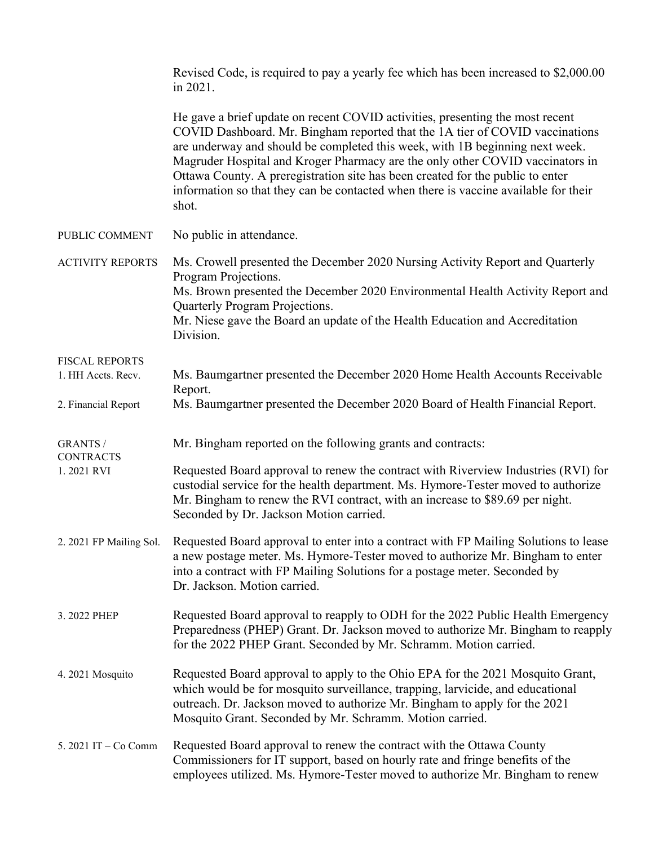|                                     | Revised Code, is required to pay a yearly fee which has been increased to \$2,000.00<br>in 2021.                                                                                                                                                                                                                                                                                                                                                                                                                 |
|-------------------------------------|------------------------------------------------------------------------------------------------------------------------------------------------------------------------------------------------------------------------------------------------------------------------------------------------------------------------------------------------------------------------------------------------------------------------------------------------------------------------------------------------------------------|
|                                     | He gave a brief update on recent COVID activities, presenting the most recent<br>COVID Dashboard. Mr. Bingham reported that the 1A tier of COVID vaccinations<br>are underway and should be completed this week, with 1B beginning next week.<br>Magruder Hospital and Kroger Pharmacy are the only other COVID vaccinators in<br>Ottawa County. A preregistration site has been created for the public to enter<br>information so that they can be contacted when there is vaccine available for their<br>shot. |
| PUBLIC COMMENT                      | No public in attendance.                                                                                                                                                                                                                                                                                                                                                                                                                                                                                         |
| <b>ACTIVITY REPORTS</b>             | Ms. Crowell presented the December 2020 Nursing Activity Report and Quarterly<br>Program Projections.<br>Ms. Brown presented the December 2020 Environmental Health Activity Report and<br>Quarterly Program Projections.<br>Mr. Niese gave the Board an update of the Health Education and Accreditation<br>Division.                                                                                                                                                                                           |
| <b>FISCAL REPORTS</b>               |                                                                                                                                                                                                                                                                                                                                                                                                                                                                                                                  |
| 1. HH Accts. Recv.                  | Ms. Baumgartner presented the December 2020 Home Health Accounts Receivable<br>Report.                                                                                                                                                                                                                                                                                                                                                                                                                           |
| 2. Financial Report                 | Ms. Baumgartner presented the December 2020 Board of Health Financial Report.                                                                                                                                                                                                                                                                                                                                                                                                                                    |
| <b>GRANTS /</b><br><b>CONTRACTS</b> | Mr. Bingham reported on the following grants and contracts:                                                                                                                                                                                                                                                                                                                                                                                                                                                      |
| 1.2021 RVI                          | Requested Board approval to renew the contract with Riverview Industries (RVI) for<br>custodial service for the health department. Ms. Hymore-Tester moved to authorize<br>Mr. Bingham to renew the RVI contract, with an increase to \$89.69 per night.<br>Seconded by Dr. Jackson Motion carried.                                                                                                                                                                                                              |
| 2. 2021 FP Mailing Sol.             | Requested Board approval to enter into a contract with FP Mailing Solutions to lease<br>a new postage meter. Ms. Hymore-Tester moved to authorize Mr. Bingham to enter<br>into a contract with FP Mailing Solutions for a postage meter. Seconded by<br>Dr. Jackson. Motion carried.                                                                                                                                                                                                                             |
| 3. 2022 PHEP                        | Requested Board approval to reapply to ODH for the 2022 Public Health Emergency<br>Preparedness (PHEP) Grant. Dr. Jackson moved to authorize Mr. Bingham to reapply<br>for the 2022 PHEP Grant. Seconded by Mr. Schramm. Motion carried.                                                                                                                                                                                                                                                                         |
| 4. 2021 Mosquito                    | Requested Board approval to apply to the Ohio EPA for the 2021 Mosquito Grant,<br>which would be for mosquito surveillance, trapping, larvicide, and educational<br>outreach. Dr. Jackson moved to authorize Mr. Bingham to apply for the 2021<br>Mosquito Grant. Seconded by Mr. Schramm. Motion carried.                                                                                                                                                                                                       |
| 5. 2021 IT - Co Comm                | Requested Board approval to renew the contract with the Ottawa County<br>Commissioners for IT support, based on hourly rate and fringe benefits of the<br>employees utilized. Ms. Hymore-Tester moved to authorize Mr. Bingham to renew                                                                                                                                                                                                                                                                          |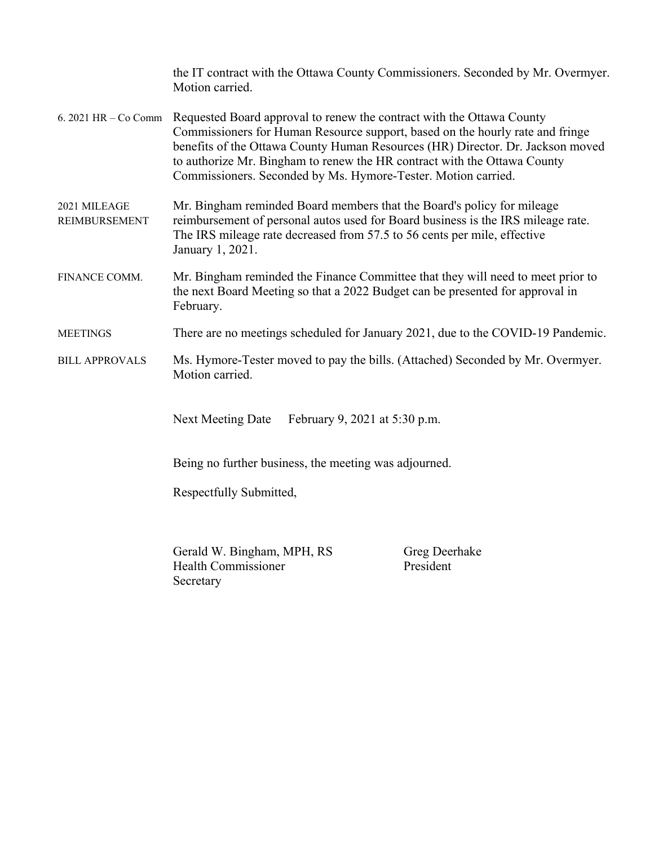|                                                       | the IT contract with the Ottawa County Commissioners. Seconded by Mr. Overmyer.<br>Motion carried.                                                                                                                                                                                                                                                                                                         |                            |  |  |
|-------------------------------------------------------|------------------------------------------------------------------------------------------------------------------------------------------------------------------------------------------------------------------------------------------------------------------------------------------------------------------------------------------------------------------------------------------------------------|----------------------------|--|--|
|                                                       | 6. 2021 HR – Co Comm Requested Board approval to renew the contract with the Ottawa County<br>Commissioners for Human Resource support, based on the hourly rate and fringe<br>benefits of the Ottawa County Human Resources (HR) Director. Dr. Jackson moved<br>to authorize Mr. Bingham to renew the HR contract with the Ottawa County<br>Commissioners. Seconded by Ms. Hymore-Tester. Motion carried. |                            |  |  |
| 2021 MILEAGE<br><b>REIMBURSEMENT</b>                  | Mr. Bingham reminded Board members that the Board's policy for mileage<br>reimbursement of personal autos used for Board business is the IRS mileage rate.<br>The IRS mileage rate decreased from 57.5 to 56 cents per mile, effective<br>January 1, 2021.                                                                                                                                                 |                            |  |  |
| FINANCE COMM.                                         | Mr. Bingham reminded the Finance Committee that they will need to meet prior to<br>the next Board Meeting so that a 2022 Budget can be presented for approval in<br>February.                                                                                                                                                                                                                              |                            |  |  |
| <b>MEETINGS</b>                                       | There are no meetings scheduled for January 2021, due to the COVID-19 Pandemic.                                                                                                                                                                                                                                                                                                                            |                            |  |  |
| <b>BILL APPROVALS</b>                                 | Ms. Hymore-Tester moved to pay the bills. (Attached) Seconded by Mr. Overmyer.<br>Motion carried.                                                                                                                                                                                                                                                                                                          |                            |  |  |
|                                                       | February 9, 2021 at 5:30 p.m.                                                                                                                                                                                                                                                                                                                                                                              |                            |  |  |
| Being no further business, the meeting was adjourned. |                                                                                                                                                                                                                                                                                                                                                                                                            |                            |  |  |
|                                                       | Respectfully Submitted,                                                                                                                                                                                                                                                                                                                                                                                    |                            |  |  |
|                                                       | Gerald W. Bingham, MPH, RS<br><b>Health Commissioner</b><br>Secretary                                                                                                                                                                                                                                                                                                                                      | Greg Deerhake<br>President |  |  |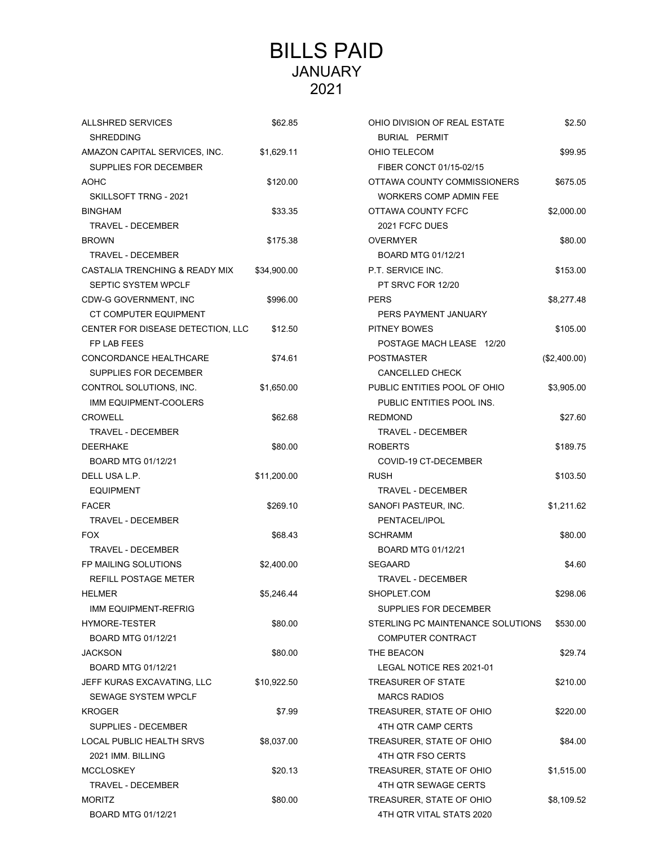## BILLS PAID JANUARY 2021

| <b>ALLSHRED SERVICES</b><br><b>SHREDDING</b> | \$62.85     | OHIO DIVISION OF REAL ESTATE<br><b>BURIAL PERMIT</b> | \$2.50       |
|----------------------------------------------|-------------|------------------------------------------------------|--------------|
| AMAZON CAPITAL SERVICES, INC.                | \$1,629.11  | OHIO TELECOM                                         | \$99.95      |
| SUPPLIES FOR DECEMBER                        |             | FIBER CONCT 01/15-02/15                              |              |
| <b>AOHC</b>                                  |             | OTTAWA COUNTY COMMISSIONERS                          |              |
|                                              | \$120.00    |                                                      | \$675.05     |
| SKILLSOFT TRNG - 2021                        |             | WORKERS COMP ADMIN FEE                               |              |
| <b>BINGHAM</b>                               | \$33.35     | OTTAWA COUNTY FCFC                                   | \$2,000.00   |
| <b>TRAVEL - DECEMBER</b>                     |             | 2021 FCFC DUES                                       |              |
| <b>BROWN</b>                                 | \$175.38    | <b>OVERMYER</b>                                      | \$80.00      |
| TRAVEL - DECEMBER                            |             | BOARD MTG 01/12/21                                   |              |
| CASTALIA TRENCHING & READY MIX               | \$34,900.00 | P.T. SERVICE INC.                                    | \$153.00     |
| SEPTIC SYSTEM WPCLF                          |             | PT SRVC FOR 12/20                                    |              |
| CDW-G GOVERNMENT, INC                        | \$996.00    | <b>PERS</b>                                          | \$8,277.48   |
| CT COMPUTER EQUIPMENT                        |             | PERS PAYMENT JANUARY                                 |              |
| CENTER FOR DISEASE DETECTION, LLC            | \$12.50     | <b>PITNEY BOWES</b>                                  | \$105.00     |
| FP LAB FEES                                  |             | POSTAGE MACH LEASE 12/20                             |              |
| CONCORDANCE HEALTHCARE                       | \$74.61     | <b>POSTMASTER</b>                                    | (\$2,400.00) |
| SUPPLIES FOR DECEMBER                        |             | CANCELLED CHECK                                      |              |
| CONTROL SOLUTIONS, INC.                      | \$1,650.00  | PUBLIC ENTITIES POOL OF OHIO                         | \$3,905.00   |
| IMM EQUIPMENT-COOLERS                        |             | PUBLIC ENTITIES POOL INS.                            |              |
| <b>CROWELL</b>                               | \$62.68     | <b>REDMOND</b>                                       | \$27.60      |
| <b>TRAVEL - DECEMBER</b>                     |             | <b>TRAVEL - DECEMBER</b>                             |              |
| <b>DEERHAKE</b>                              | \$80.00     | <b>ROBERTS</b>                                       | \$189.75     |
| BOARD MTG 01/12/21                           |             | COVID-19 CT-DECEMBER                                 |              |
| DELL USA L.P.                                | \$11,200.00 | <b>RUSH</b>                                          | \$103.50     |
| <b>EQUIPMENT</b>                             |             | TRAVEL - DECEMBER                                    |              |
| <b>FACER</b>                                 | \$269.10    | SANOFI PASTEUR, INC.                                 | \$1,211.62   |
| <b>TRAVEL - DECEMBER</b>                     |             | PENTACEL/IPOL                                        |              |
| <b>FOX</b>                                   | \$68.43     | <b>SCHRAMM</b>                                       | \$80.00      |
| TRAVEL - DECEMBER                            |             | BOARD MTG 01/12/21                                   |              |
| FP MAILING SOLUTIONS                         | \$2,400.00  | <b>SEGAARD</b>                                       | \$4.60       |
| <b>REFILL POSTAGE METER</b>                  |             | TRAVEL - DECEMBER                                    |              |
| <b>HELMER</b>                                | \$5,246.44  | SHOPLET.COM                                          | \$298.06     |
| IMM EQUIPMENT-REFRIG                         |             | SUPPLIES FOR DECEMBER                                |              |
| <b>HYMORE-TESTER</b>                         | \$80.00     | STERLING PC MAINTENANCE SOLUTIONS                    | \$530.00     |
| BOARD MTG 01/12/21                           |             | COMPUTER CONTRACT                                    |              |
| <b>JACKSON</b>                               | \$80.00     | THE BEACON                                           | \$29.74      |
| BOARD MTG 01/12/21                           |             | LEGAL NOTICE RES 2021-01                             |              |
| JEFF KURAS EXCAVATING, LLC                   | \$10,922.50 | TREASURER OF STATE                                   | \$210.00     |
| <b>SEWAGE SYSTEM WPCLF</b>                   |             | <b>MARCS RADIOS</b>                                  |              |
| <b>KROGER</b>                                | \$7.99      | TREASURER, STATE OF OHIO                             | \$220.00     |
| SUPPLIES - DECEMBER                          |             | 4TH QTR CAMP CERTS                                   |              |
| LOCAL PUBLIC HEALTH SRVS                     | \$8,037.00  | TREASURER, STATE OF OHIO                             | \$84.00      |
| 2021 IMM. BILLING                            |             | 4TH QTR FSO CERTS                                    |              |
| <b>MCCLOSKEY</b>                             | \$20.13     | TREASURER, STATE OF OHIO                             | \$1,515.00   |
| TRAVEL - DECEMBER                            |             | 4TH QTR SEWAGE CERTS                                 |              |
| <b>MORITZ</b>                                | \$80.00     | TREASURER, STATE OF OHIO                             | \$8,109.52   |
| BOARD MTG 01/12/21                           |             | 4TH QTR VITAL STATS 2020                             |              |
|                                              |             |                                                      |              |

| ALLSHRED SERVICES                 | \$62.85     | OHIO DIVISION OF REAL ESTATE      | \$2.50       |  |
|-----------------------------------|-------------|-----------------------------------|--------------|--|
| <b>SHREDDING</b>                  |             | <b>BURIAL PERMIT</b>              |              |  |
| AMAZON CAPITAL SERVICES, INC.     | \$1,629.11  | OHIO TELECOM                      | \$99.95      |  |
| SUPPLIES FOR DECEMBER             |             | FIBER CONCT 01/15-02/15           |              |  |
| AOHC                              | \$120.00    | OTTAWA COUNTY COMMISSIONERS       | \$675.05     |  |
| SKILLSOFT TRNG - 2021             |             | <b>WORKERS COMP ADMIN FEE</b>     |              |  |
| BINGHAM                           | \$33.35     | OTTAWA COUNTY FCFC                | \$2,000.00   |  |
| TRAVEL - DECEMBER                 |             | 2021 FCFC DUES                    |              |  |
| BROWN                             | \$175.38    | <b>OVERMYER</b>                   | \$80.00      |  |
| <b>TRAVEL - DECEMBER</b>          |             | BOARD MTG 01/12/21                |              |  |
| CASTALIA TRENCHING & READY MIX    | \$34,900.00 | P.T. SERVICE INC.                 | \$153.00     |  |
| SEPTIC SYSTEM WPCLF               |             | PT SRVC FOR 12/20                 |              |  |
| CDW-G GOVERNMENT, INC             | \$996.00    | <b>PERS</b>                       | \$8,277.48   |  |
| CT COMPUTER EQUIPMENT             |             | PERS PAYMENT JANUARY              |              |  |
| CENTER FOR DISEASE DETECTION, LLC | \$12.50     | PITNEY BOWES                      | \$105.00     |  |
| FP LAB FEES                       |             | POSTAGE MACH LEASE 12/20          |              |  |
| CONCORDANCE HEALTHCARE            | \$74.61     | <b>POSTMASTER</b>                 | (\$2,400.00) |  |
| SUPPLIES FOR DECEMBER             |             | <b>CANCELLED CHECK</b>            |              |  |
| CONTROL SOLUTIONS, INC.           | \$1,650.00  | PUBLIC ENTITIES POOL OF OHIO      | \$3,905.00   |  |
| <b>IMM EQUIPMENT-COOLERS</b>      |             | PUBLIC ENTITIES POOL INS.         |              |  |
| CROWELL                           | \$62.68     | <b>REDMOND</b>                    | \$27.60      |  |
| TRAVEL - DECEMBER                 |             | TRAVEL - DECEMBER                 |              |  |
| DEERHAKE                          | \$80.00     | <b>ROBERTS</b>                    | \$189.75     |  |
| BOARD MTG 01/12/21                |             | COVID-19 CT-DECEMBER              |              |  |
| DELL USA L.P.                     | \$11,200.00 | <b>RUSH</b>                       | \$103.50     |  |
| <b>EQUIPMENT</b>                  |             | <b>TRAVEL - DECEMBER</b>          |              |  |
| <b>FACER</b>                      | \$269.10    | SANOFI PASTEUR, INC.              | \$1,211.62   |  |
| <b>TRAVEL - DECEMBER</b>          |             | PENTACEL/IPOL                     |              |  |
| <b>FOX</b>                        | \$68.43     | <b>SCHRAMM</b>                    | \$80.00      |  |
| TRAVEL - DECEMBER                 |             | BOARD MTG 01/12/21                |              |  |
| FP MAILING SOLUTIONS              | \$2,400.00  | <b>SEGAARD</b>                    | \$4.60       |  |
| REFILL POSTAGE METER              |             | <b>TRAVEL - DECEMBER</b>          |              |  |
| HELMER                            | \$5,246.44  | SHOPLET.COM                       | \$298.06     |  |
| IMM EQUIPMENT-REFRIG              |             | SUPPLIES FOR DECEMBER             |              |  |
| HYMORE-TESTER                     | \$80.00     | STERLING PC MAINTENANCE SOLUTIONS | \$530.00     |  |
| BOARD MTG 01/12/21                |             | COMPUTER CONTRACT                 |              |  |
| JACKSON                           | \$80.00     | THE BEACON                        | \$29.74      |  |
| BOARD MTG 01/12/21                |             | LEGAL NOTICE RES 2021-01          |              |  |
| JEFF KURAS EXCAVATING, LLC        | \$10,922.50 | <b>TREASURER OF STATE</b>         | \$210.00     |  |
| <b>SEWAGE SYSTEM WPCLF</b>        |             | <b>MARCS RADIOS</b>               |              |  |
| KROGER                            | \$7.99      | TREASURER, STATE OF OHIO          | \$220.00     |  |
| SUPPLIES - DECEMBER               |             | 4TH QTR CAMP CERTS                |              |  |
| LOCAL PUBLIC HEALTH SRVS          | \$8,037.00  | TREASURER, STATE OF OHIO          | \$84.00      |  |
| 2021 IMM. BILLING                 |             | 4TH QTR FSO CERTS                 |              |  |
| MCCLOSKEY                         | \$20.13     | TREASURER, STATE OF OHIO          | \$1,515.00   |  |
| <b>TRAVEL - DECEMBER</b>          |             | 4TH QTR SEWAGE CERTS              |              |  |
| MORITZ                            | \$80.00     | TREASURER, STATE OF OHIO          | \$8,109.52   |  |
| BOARD MTG 01/12/21                |             | 4TH QTR VITAL STATS 2020          |              |  |